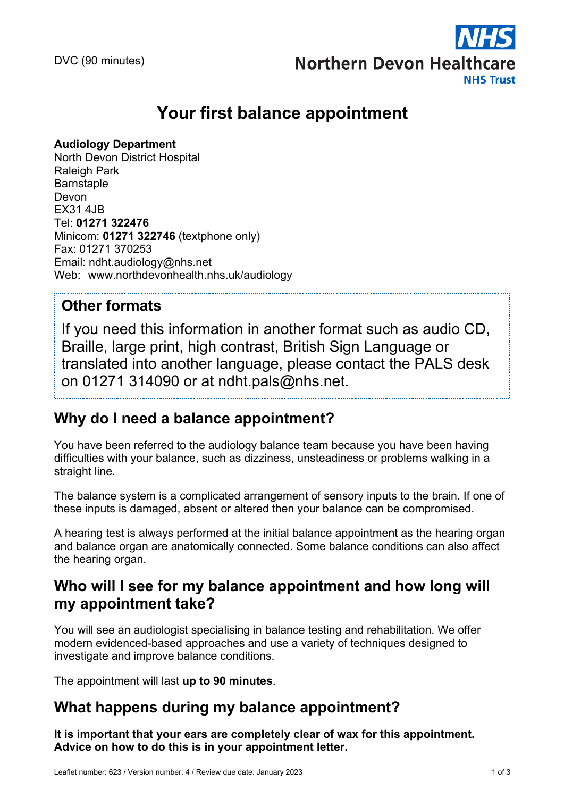

# **Your first balance appointment**

### **Audiology Department**

North Devon District Hospital Raleigh Park **Barnstaple** Devon EX31 4JB Tel: **01271 322476** Minicom: **01271 322746** (textphone only) Fax: 01271 370253 Email: ndht.audiology@nhs.net Web: www.northdevonhealth.nhs.uk/audiology

## **Other formats**

If you need this information in another format such as audio CD, Braille, large print, high contrast, British Sign Language or translated into another language, please contact the PALS desk on 01271 314090 or at ndht.pals@nhs.net.

# **Why do I need a balance appointment?**

You have been referred to the audiology balance team because you have been having difficulties with your balance, such as dizziness, unsteadiness or problems walking in a straight line.

The balance system is a complicated arrangement of sensory inputs to the brain. If one of these inputs is damaged, absent or altered then your balance can be compromised.

A hearing test is always performed at the initial balance appointment as the hearing organ and balance organ are anatomically connected. Some balance conditions can also affect the hearing organ.

# **Who will I see for my balance appointment and how long will my appointment take?**

You will see an audiologist specialising in balance testing and rehabilitation. We offer modern evidenced-based approaches and use a variety of techniques designed to investigate and improve balance conditions.

The appointment will last **up to 90 minutes**.

## **What happens during my balance appointment?**

**It is important that your ears are completely clear of wax for this appointment. Advice on how to do this is in your appointment letter.**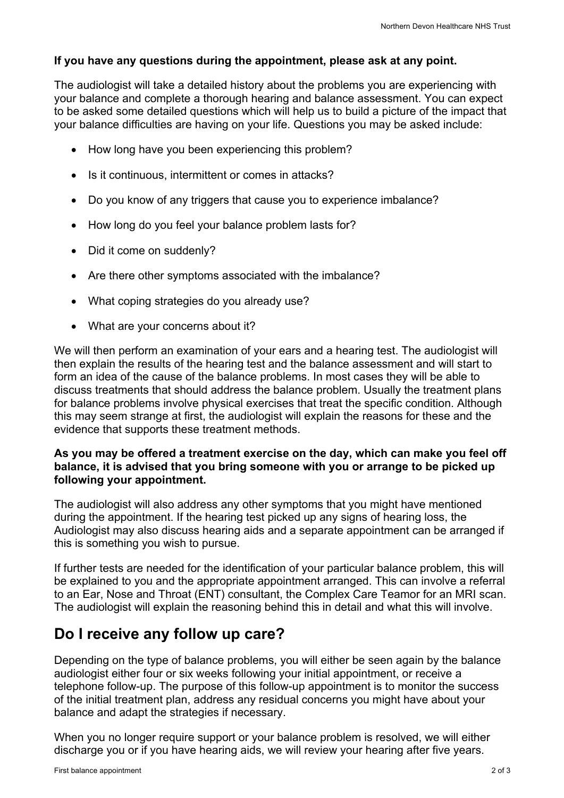#### **If you have any questions during the appointment, please ask at any point.**

The audiologist will take a detailed history about the problems you are experiencing with your balance and complete a thorough hearing and balance assessment. You can expect to be asked some detailed questions which will help us to build a picture of the impact that your balance difficulties are having on your life. Questions you may be asked include:

- How long have you been experiencing this problem?
- Is it continuous, intermittent or comes in attacks?
- Do you know of any triggers that cause you to experience imbalance?
- How long do you feel your balance problem lasts for?
- Did it come on suddenly?
- Are there other symptoms associated with the imbalance?
- What coping strategies do you already use?
- What are your concerns about it?

We will then perform an examination of your ears and a hearing test. The audiologist will then explain the results of the hearing test and the balance assessment and will start to form an idea of the cause of the balance problems. In most cases they will be able to discuss treatments that should address the balance problem. Usually the treatment plans for balance problems involve physical exercises that treat the specific condition. Although this may seem strange at first, the audiologist will explain the reasons for these and the evidence that supports these treatment methods.

#### **As you may be offered a treatment exercise on the day, which can make you feel off balance, it is advised that you bring someone with you or arrange to be picked up following your appointment.**

The audiologist will also address any other symptoms that you might have mentioned during the appointment. If the hearing test picked up any signs of hearing loss, the Audiologist may also discuss hearing aids and a separate appointment can be arranged if this is something you wish to pursue.

If further tests are needed for the identification of your particular balance problem, this will be explained to you and the appropriate appointment arranged. This can involve a referral to an Ear, Nose and Throat (ENT) consultant, the Complex Care Teamor for an MRI scan. The audiologist will explain the reasoning behind this in detail and what this will involve.

### **Do I receive any follow up care?**

Depending on the type of balance problems, you will either be seen again by the balance audiologist either four or six weeks following your initial appointment, or receive a telephone follow-up. The purpose of this follow-up appointment is to monitor the success of the initial treatment plan, address any residual concerns you might have about your balance and adapt the strategies if necessary.

When you no longer require support or your balance problem is resolved, we will either discharge you or if you have hearing aids, we will review your hearing after five years.